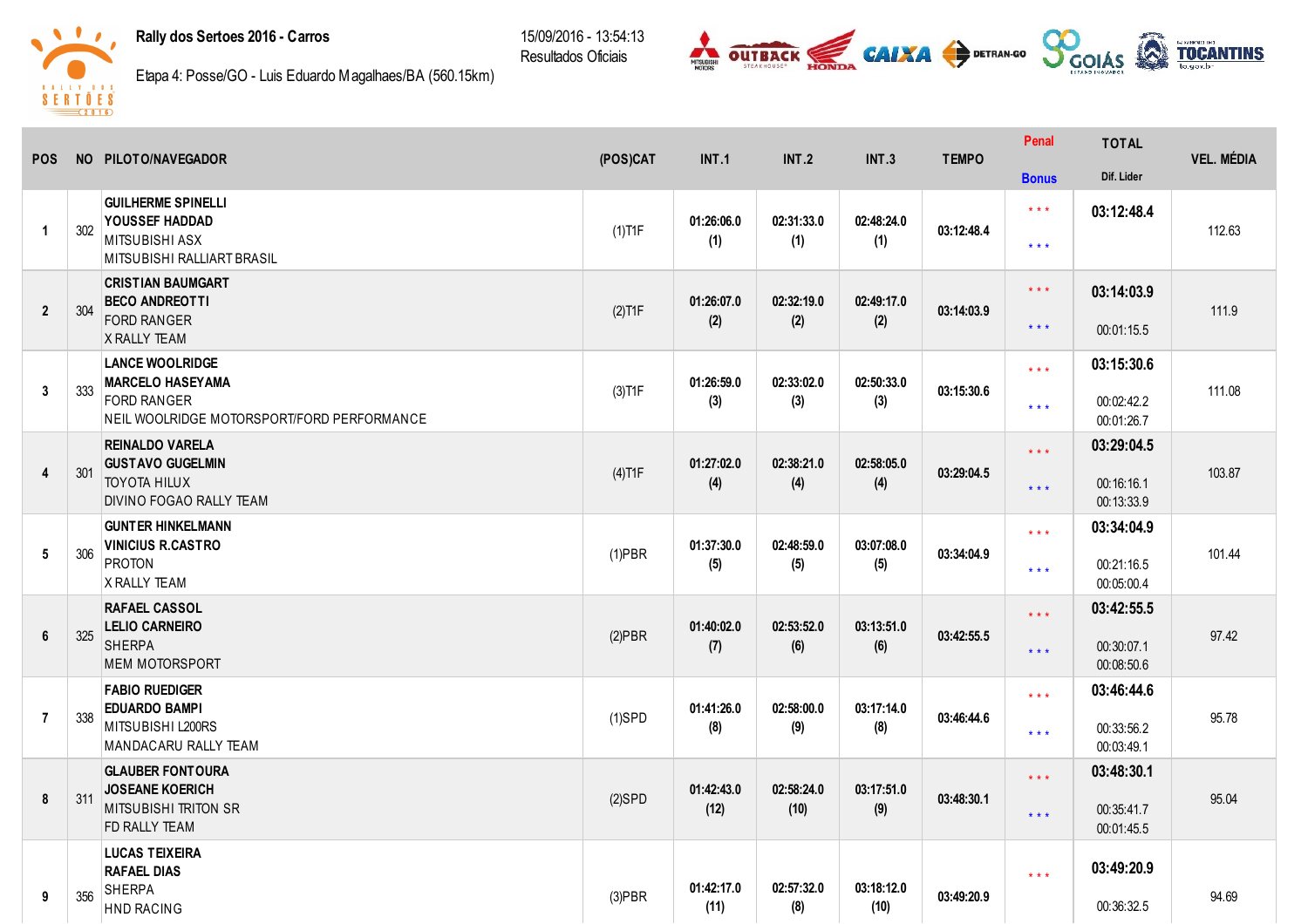## Rally dos Sertoes 2016 Carros

15/09/2016 13:54:13 Resultados Oficiais





Etapa 4: Posse/GO Luis Eduardo Magalhaes/BA (560.15km)

| <b>POS</b>       |     | NO PILOTO/NAVEGADOR                                                       | (POS)CAT  | <b>INT.1</b>       | <b>INT.2</b>       | <b>INT.3</b>       | <b>TEMPO</b> | Penal                   | <b>TOTAL</b>             | <b>VEL. MÉDIA</b> |
|------------------|-----|---------------------------------------------------------------------------|-----------|--------------------|--------------------|--------------------|--------------|-------------------------|--------------------------|-------------------|
|                  |     |                                                                           |           |                    |                    |                    |              | <b>Bonus</b>            | Dif. Lider               |                   |
| $\mathbf{1}$     | 302 | <b>GUILHERME SPINELLI</b><br>YOUSSEF HADDAD<br>MITSUBISHI ASX             | $(1)$ T1F | 01:26:06.0<br>(1)  | 02:31:33.0<br>(1)  | 02:48:24.0<br>(1)  | 03:12:48.4   | $***$<br>$***$          | 03:12:48.4               | 112.63            |
|                  |     | MITSUBISHI RALLIART BRASIL                                                |           |                    |                    |                    |              |                         |                          |                   |
| $\mathbf{2}$     | 304 | <b>CRISTIAN BAUMGART</b><br><b>BECO ANDREOTTI</b>                         | $(2)$ T1F | 01:26:07.0         | 02:32:19.0         | 02:49:17.0         | 03:14:03.9   | $\star\star\star$       | 03:14:03.9               | 111.9             |
|                  |     | <b>FORD RANGER</b><br>X RALLY TEAM                                        |           | (2)                | (2)                | (2)                |              | $***$                   | 00:01:15.5               |                   |
|                  |     | <b>LANCE WOOLRIDGE</b><br><b>MARCELO HASEYAMA</b>                         |           | 01:26:59.0         | 02:33:02.0         | 02:50:33.0         |              | $***$                   | 03:15:30.6               |                   |
| $\mathbf{3}$     | 333 | <b>FORD RANGER</b><br>NEIL WOOLRIDGE MOTORSPORT/FORD PERFORMANCE          | $(3)$ T1F | (3)                | (3)                | (3)                | 03:15:30.6   | $***$                   | 00:02:42.2<br>00:01:26.7 | 111.08            |
|                  |     | <b>REINALDO VARELA</b>                                                    |           |                    |                    |                    |              | $***$                   | 03:29:04.5               |                   |
| $\overline{4}$   | 301 | <b>GUSTAVO GUGELMIN</b><br><b>TOYOTA HILUX</b><br>DIVINO FOGAO RALLY TEAM | $(4)$ T1F | 01:27:02.0<br>(4)  | 02:38:21.0<br>(4)  | 02:58:05.0<br>(4)  | 03:29:04.5   | $***$                   | 00:16:16.1<br>00:13:33.9 | 103.87            |
|                  |     | <b>GUNTER HINKELMANN</b>                                                  |           |                    |                    |                    |              | $***$                   | 03:34:04.9               |                   |
| $5\phantom{.0}$  | 306 | <b>VINICIUS R.CASTRO</b><br><b>PROTON</b><br><b>X RALLY TEAM</b>          | $(1)$ PBR | 01:37:30.0<br>(5)  | 02:48:59.0<br>(5)  | 03:07:08.0<br>(5)  | 03:34:04.9   | $***$                   | 00:21:16.5<br>00:05:00.4 | 101.44            |
|                  |     | <b>RAFAEL CASSOL</b>                                                      |           |                    |                    |                    |              | $\star \star \star$     | 03:42:55.5               |                   |
| $\boldsymbol{6}$ | 325 | <b>LELIO CARNEIRO</b><br><b>SHERPA</b><br><b>MEM MOTORSPORT</b>           | $(2)$ PBR | 01:40:02.0<br>(7)  | 02:53:52.0<br>(6)  | 03:13:51.0<br>(6)  | 03:42:55.5   | $***$                   | 00:30:07.1<br>00:08:50.6 | 97.42             |
|                  |     | <b>FABIO RUEDIGER</b>                                                     |           |                    |                    |                    |              | $***$                   | 03:46:44.6               |                   |
| $\overline{7}$   | 338 | <b>EDUARDO BAMPI</b><br>MITSUBISHI L200RS<br>MANDACARU RALLY TEAM         | $(1)$ SPD | 01:41:26.0<br>(8)  | 02:58:00.0<br>(9)  | 03:17:14.0<br>(8)  | 03:46:44.6   | $***$                   | 00:33:56.2<br>00:03:49.1 | 95.78             |
|                  |     | <b>GLAUBER FONTOURA</b>                                                   |           |                    |                    |                    |              | $\star \star \star$     | 03:48:30.1               |                   |
| 8                | 311 | <b>JOSEANE KOERICH</b><br><b>MITSUBISHI TRITON SR</b><br>FD RALLY TEAM    | $(2)$ SPD | 01:42:43.0<br>(12) | 02:58:24.0<br>(10) | 03:17:51.0<br>(9)  | 03:48:30.1   | $***$                   | 00:35:41.7<br>00:01:45.5 | 95.04             |
|                  |     | <b>LUCAS TEIXEIRA</b><br><b>RAFAEL DIAS</b>                               |           |                    |                    |                    |              | $\star$ $\star$ $\star$ | 03:49:20.9               |                   |
| 9                | 356 | <b>SHERPA</b><br><b>HND RACING</b>                                        | $(3)$ PBR | 01:42:17.0<br>(11) | 02:57:32.0<br>(8)  | 03:18:12.0<br>(10) | 03:49:20.9   |                         | 00:36:32.5               | 94.69             |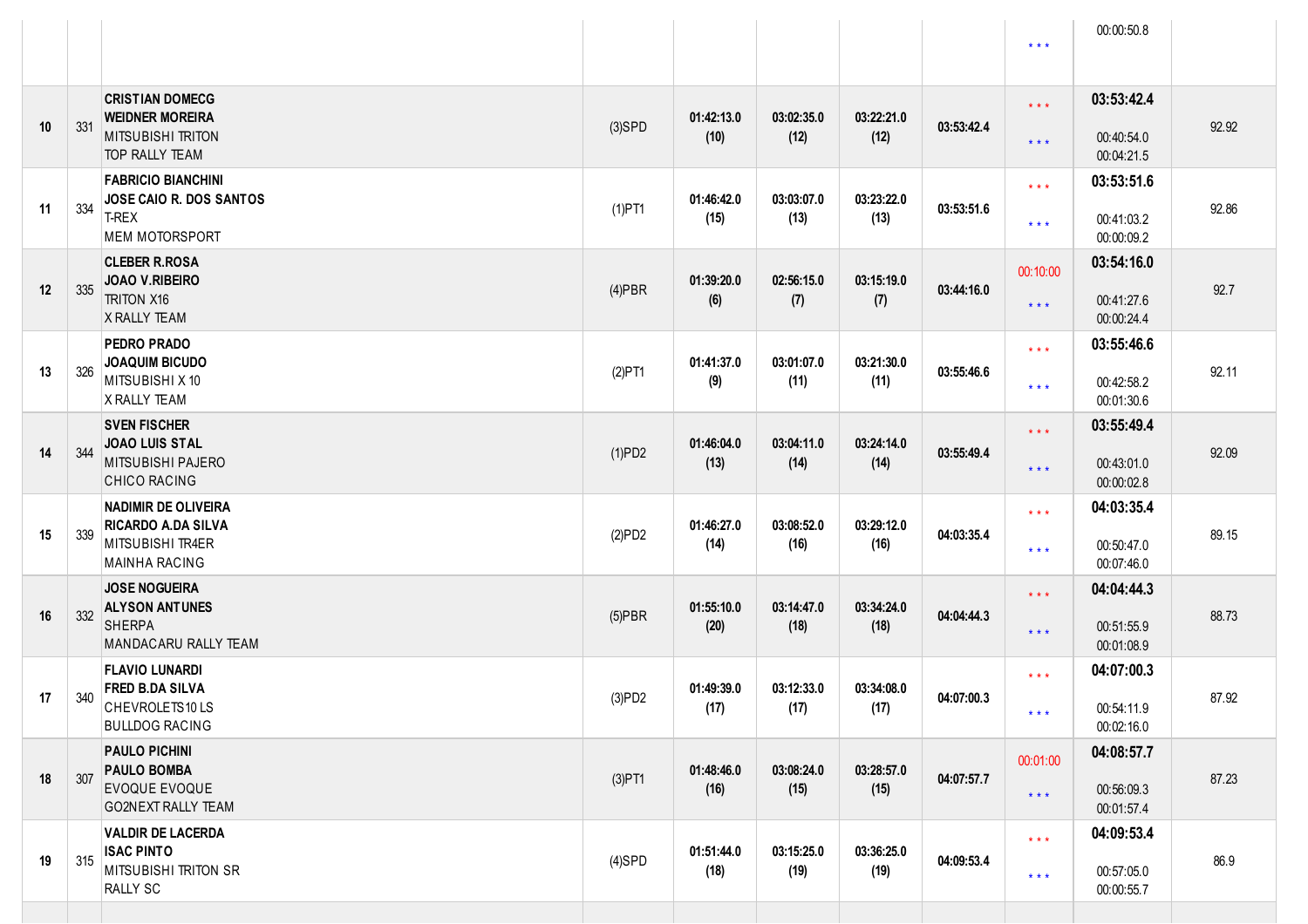|    |     |                                                                                                     |           |                    |                    |                    |            | $* * *$                                            | 00:00:50.8                             |       |
|----|-----|-----------------------------------------------------------------------------------------------------|-----------|--------------------|--------------------|--------------------|------------|----------------------------------------------------|----------------------------------------|-------|
| 10 | 331 | <b>CRISTIAN DOMECG</b><br><b>WEIDNER MOREIRA</b><br><b>MITSUBISHI TRITON</b><br>TOP RALLY TEAM      | $(3)$ SPD | 01:42:13.0<br>(10) | 03:02:35.0<br>(12) | 03:22:21.0<br>(12) | 03:53:42.4 | $\star$ $\star$ $\star$<br>$\star \star \star$     | 03:53:42.4<br>00:40:54.0<br>00:04:21.5 | 92.92 |
| 11 | 334 | <b>FABRICIO BIANCHINI</b><br><b>JOSE CAIO R. DOS SANTOS</b><br>T-REX<br><b>MEM MOTORSPORT</b>       | $(1)$ PT1 | 01:46:42.0<br>(15) | 03:03:07.0<br>(13) | 03:23:22.0<br>(13) | 03:53:51.6 | $\star$ $\star$ $\star$<br>$\star$ $\star$ $\star$ | 03:53:51.6<br>00:41:03.2<br>00:00:09.2 | 92.86 |
| 12 | 335 | <b>CLEBER R.ROSA</b><br>JOAO V.RIBEIRO<br><b>TRITON X16</b><br>X RALLY TEAM                         | $(4)$ PBR | 01:39:20.0<br>(6)  | 02:56:15.0<br>(7)  | 03:15:19.0<br>(7)  | 03:44:16.0 | 00:10:00<br>$\star \star \star$                    | 03:54:16.0<br>00:41:27.6<br>00:00:24.4 | 92.7  |
| 13 | 326 | <b>PEDRO PRADO</b><br><b>JOAQUIM BICUDO</b><br>MITSUBISHI X 10<br>X RALLY TEAM                      | $(2)$ PT1 | 01:41:37.0<br>(9)  | 03:01:07.0<br>(11) | 03:21:30.0<br>(11) | 03:55:46.6 | $\star$ $\star$ $\star$<br>$\star$ $\star$ $\star$ | 03:55:46.6<br>00:42:58.2<br>00:01:30.6 | 92.11 |
| 14 | 344 | <b>SVEN FISCHER</b><br><b>JOAO LUIS STAL</b><br>MITSUBISHI PAJERO<br><b>CHICO RACING</b>            | (1)PD2    | 01:46:04.0<br>(13) | 03:04:11.0<br>(14) | 03:24:14.0<br>(14) | 03:55:49.4 | $\star$ $\star$ $\star$<br>$\star \star \star$     | 03:55:49.4<br>00:43:01.0<br>00:00:02.8 | 92.09 |
| 15 | 339 | <b>NADIMIR DE OLIVEIRA</b><br><b>RICARDO A.DA SILVA</b><br>MITSUBISHI TR4ER<br><b>MAINHA RACING</b> | (2)PD2    | 01:46:27.0<br>(14) | 03:08:52.0<br>(16) | 03:29:12.0<br>(16) | 04:03:35.4 | $\star$ $\star$ $\star$<br>$\star$ $\star$ $\star$ | 04:03:35.4<br>00:50:47.0<br>00:07:46.0 | 89.15 |
| 16 | 332 | <b>JOSE NOGUEIRA</b><br><b>ALYSON ANTUNES</b><br>SHERPA<br>MANDACARU RALLY TEAM                     | $(5)$ PBR | 01:55:10.0<br>(20) | 03:14:47.0<br>(18) | 03:34:24.0<br>(18) | 04:04:44.3 | $\star$ $\star$ $\star$<br>$\star \star \star$     | 04:04:44.3<br>00:51:55.9<br>00:01:08.9 | 88.73 |
| 17 | 340 | <b>FLAVIO LUNARDI</b><br><b>FRED B.DA SILVA</b><br>CHEVROLETS10LS<br><b>BULLDOG RACING</b>          | (3)PD2    | 01:49:39.0<br>(17) | 03:12:33.0<br>(17) | 03:34:08.0<br>(17) | 04:07:00.3 | $\star$ $\star$ $\star$<br>* * *                   | 04:07:00.3<br>00:54:11.9<br>00:02:16.0 | 87.92 |
| 18 | 307 | <b>PAULO PICHINI</b><br><b>PAULO BOMBA</b><br><b>EVOQUE EVOQUE</b><br><b>GO2NEXT RALLY TEAM</b>     | $(3)$ PT1 | 01:48:46.0<br>(16) | 03:08:24.0<br>(15) | 03:28:57.0<br>(15) | 04:07:57.7 | 00:01:00<br>$\star$ $\star$ $\star$                | 04:08:57.7<br>00:56:09.3<br>00:01:57.4 | 87.23 |
| 19 | 315 | <b>VALDIR DE LACERDA</b><br><b>ISAC PINTO</b><br>MITSUBISHI TRITON SR<br><b>RALLY SC</b>            | $(4)$ SPD | 01:51:44.0<br>(18) | 03:15:25.0<br>(19) | 03:36:25.0<br>(19) | 04:09:53.4 | $\star$ $\star$ $\star$<br>$\star$ $\star$ $\star$ | 04:09:53.4<br>00:57:05.0<br>00:00:55.7 | 86.9  |
|    |     |                                                                                                     |           |                    |                    |                    |            |                                                    |                                        |       |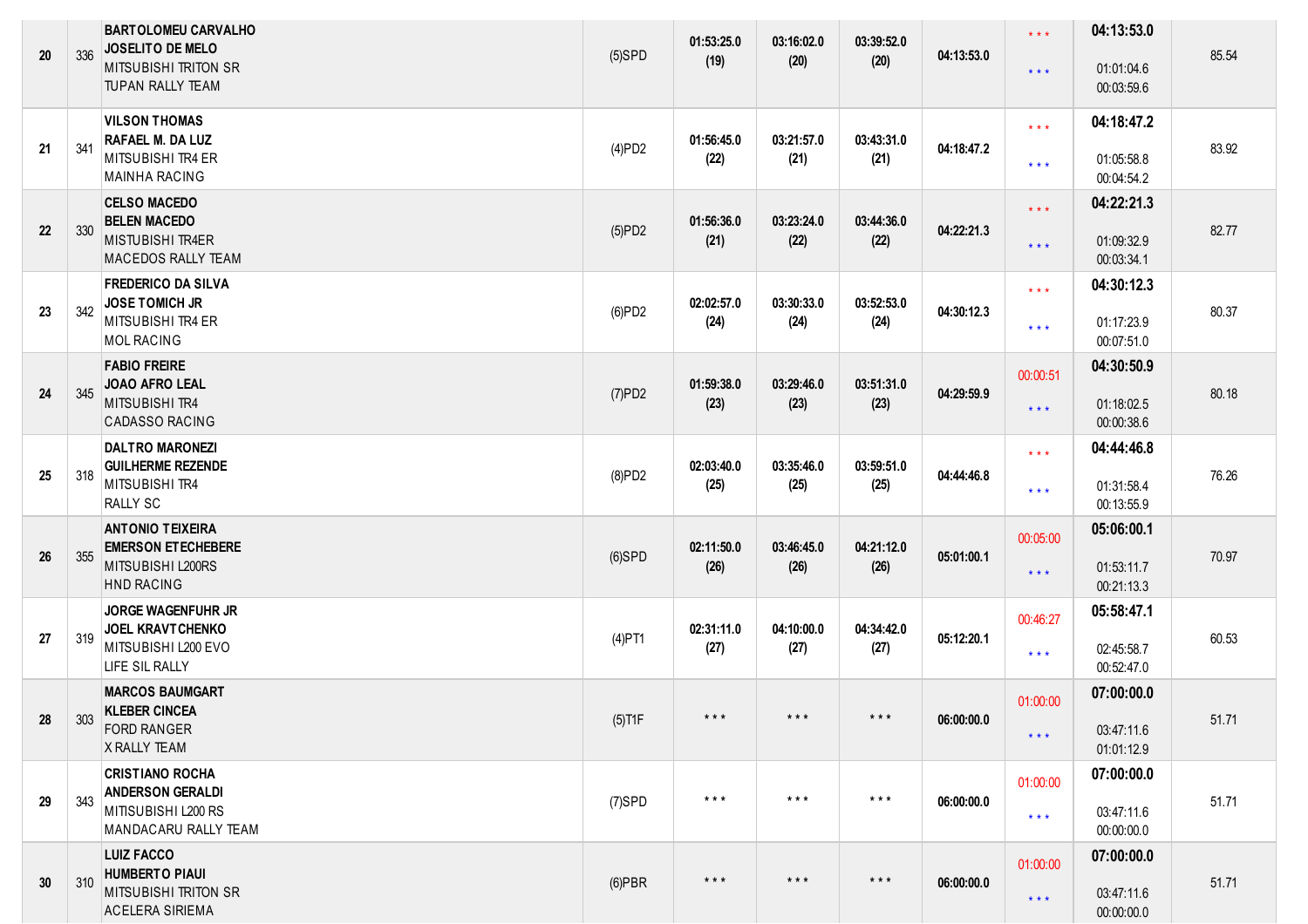| 20 | 336 | <b>BARTOLOMEU CARVALHO</b><br><b>JOSELITO DE MELO</b><br><b>MITSUBISHI TRITON SR</b><br><b>TUPAN RALLY TEAM</b> | $(5)$ SPD | 01:53:25.0<br>(19)      | 03:16:02.0<br>(20)      | 03:39:52.0<br>(20) | 04:13:53.0 | $***$<br>$* * *$                                   | 04:13:53.0<br>01:01:04.6<br>00:03:59.6 | 85.54 |
|----|-----|-----------------------------------------------------------------------------------------------------------------|-----------|-------------------------|-------------------------|--------------------|------------|----------------------------------------------------|----------------------------------------|-------|
| 21 | 341 | <b>VILSON THOMAS</b><br>RAFAEL M. DA LUZ<br>MITSUBISHI TR4 ER<br><b>MAINHA RACING</b>                           | (4)PD2    | 01:56:45.0<br>(22)      | 03:21:57.0<br>(21)      | 03:43:31.0<br>(21) | 04:18:47.2 | $\star$ $\star$ $\star$<br>$\star$ $\star$ $\star$ | 04:18:47.2<br>01:05:58.8<br>00:04:54.2 | 83.92 |
| 22 | 330 | <b>CELSO MACEDO</b><br><b>BELEN MACEDO</b><br><b>MISTUBISHI TR4ER</b><br><b>MACEDOS RALLY TEAM</b>              | (5)PD2    | 01:56:36.0<br>(21)      | 03:23:24.0<br>(22)      | 03:44:36.0<br>(22) | 04:22:21.3 | $\star\star\star$<br>$***$                         | 04:22:21.3<br>01:09:32.9<br>00:03:34.1 | 82.77 |
| 23 | 342 | <b>FREDERICO DA SILVA</b><br><b>JOSE TOMICH JR</b><br><b>MITSUBISHI TR4 ER</b><br><b>MOL RACING</b>             | (6)PD2    | 02:02:57.0<br>(24)      | 03:30:33.0<br>(24)      | 03:52:53.0<br>(24) | 04:30:12.3 | $\star\star\star$<br>$***$                         | 04:30:12.3<br>01:17:23.9<br>00:07:51.0 | 80.37 |
| 24 | 345 | <b>FABIO FREIRE</b><br>JOAO AFRO LEAL<br>MITSUBISHI TR4<br><b>CADASSO RACING</b>                                | (7)PD2    | 01:59:38.0<br>(23)      | 03:29:46.0<br>(23)      | 03:51:31.0<br>(23) | 04:29:59.9 | 00:00:51<br>$***$                                  | 04:30:50.9<br>01:18:02.5<br>00:00:38.6 | 80.18 |
| 25 | 318 | <b>DALTRO MARONEZI</b><br><b>GUILHERME REZENDE</b><br>MITSUBISHI TR4<br><b>RALLY SC</b>                         | (8)PD2    | 02:03:40.0<br>(25)      | 03:35:46.0<br>(25)      | 03:59:51.0<br>(25) | 04:44:46.8 | $\star$ $\star$ $\star$<br>$***$                   | 04:44:46.8<br>01:31:58.4<br>00:13:55.9 | 76.26 |
| 26 | 355 | <b>ANTONIO TEIXEIRA</b><br><b>EMERSON ET ECHEBERE</b><br>MITSUBISHI L200RS<br><b>HND RACING</b>                 | $(6)$ SPD | 02:11:50.0<br>(26)      | 03:46:45.0<br>(26)      | 04:21:12.0<br>(26) | 05:01:00.1 | 00:05:00<br>$\star$ $\star$ $\star$                | 05:06:00.1<br>01:53:11.7<br>00:21:13.3 | 70.97 |
| 27 | 319 | <b>JORGE WAGENFUHR JR</b><br><b>JOEL KRAVTCHENKO</b><br>MITSUBISHI L200 EVO<br>LIFE SIL RALLY                   | $(4)$ PT1 | 02:31:11.0<br>(27)      | 04:10:00.0<br>(27)      | 04:34:42.0<br>(27) | 05:12:20.1 | 00:46:27<br>$***$                                  | 05:58:47.1<br>02:45:58.7<br>00:52:47.0 | 60.53 |
| 28 | 303 | <b>MARCOS BAUMGART</b><br><b>KLEBER CINCEA</b><br><b>FORD RANGER</b><br>X RALLY TEAM                            | $(5)$ T1F | $***$                   | $***$                   |                    | 06:00:00.0 | 01:00:00<br>$* * *$                                | 07:00:00.0<br>03:47:11.6<br>01:01:12.9 | 51.71 |
| 29 | 343 | <b>CRISTIANO ROCHA</b><br><b>ANDERSON GERALDI</b><br>MITISUBISHI L200 RS<br>MANDACARU RALLY TEAM                | $(7)$ SPD | $***$                   | $***$                   | $***$              | 06:00:00.0 | 01:00:00<br>$\star\star\star$                      | 07:00:00.0<br>03:47:11.6<br>00:00:00.0 | 51.71 |
| 30 | 310 | <b>LUIZ FACCO</b><br><b>HUMBERTO PIAUI</b><br><b>MITSUBISHI TRITON SR</b><br><b>ACELERA SIRIEMA</b>             | $(6)$ PBR | $\star$ $\star$ $\star$ | $\star$ $\star$ $\star$ | $***$              | 06:00:00.0 | 01:00:00<br>$\star$ $\star$ $\star$                | 07:00:00.0<br>03:47:11.6<br>00:00:00.0 | 51.71 |